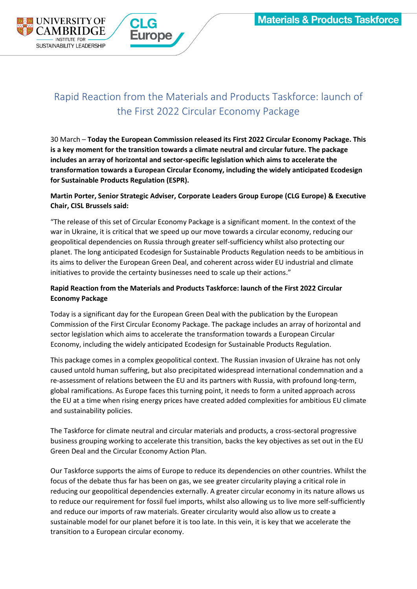

# Rapid Reaction from the Materials and Products Taskforce: launch of the First 2022 Circular Economy Package

30 March – **Today the European Commission released its First 2022 Circular Economy Package. This is a key moment for the transition towards a climate neutral and circular future. The package includes an array of horizontal and sector-specific legislation which aims to accelerate the transformation towards a European Circular Economy, including the widely anticipated Ecodesign for Sustainable Products Regulation (ESPR).**

# **Martin Porter, Senior Strategic Adviser, Corporate Leaders Group Europe (CLG Europe) & Executive Chair, CISL Brussels said:**

"The release of this set of Circular Economy Package is a significant moment. In the context of the war in Ukraine, it is critical that we speed up our move towards a circular economy, reducing our geopolitical dependencies on Russia through greater self-sufficiency whilst also protecting our planet. The long anticipated Ecodesign for Sustainable Products Regulation needs to be ambitious in its aims to deliver the European Green Deal, and coherent across wider EU industrial and climate initiatives to provide the certainty businesses need to scale up their actions."

# **Rapid Reaction from the Materials and Products Taskforce: launch of the First 2022 Circular Economy Package**

Today is a significant day for the European Green Deal with the publication by the European Commission of the First Circular Economy Package. The package includes an array of horizontal and sector legislation which aims to accelerate the transformation towards a European Circular Economy, including the widely anticipated Ecodesign for Sustainable Products Regulation.

This package comes in a complex geopolitical context. The Russian invasion of Ukraine has not only caused untold human suffering, but also precipitated widespread international condemnation and a re-assessment of relations between the EU and its partners with Russia, with profound long-term, global ramifications. As Europe faces this turning point, it needs to form a united approach across the EU at a time when rising energy prices have created added complexities for ambitious EU climate and sustainability policies.

The Taskforce for climate neutral and circular materials and products, a cross-sectoral progressive business grouping working to accelerate this transition, backs the key objectives as set out in the EU Green Deal and the Circular Economy Action Plan.

Our Taskforce supports the aims of Europe to reduce its dependencies on other countries. Whilst the focus of the debate thus far has been on gas, we see greater circularity playing a critical role in reducing our geopolitical dependencies externally. A greater circular economy in its nature allows us to reduce our requirement for fossil fuel imports, whilst also allowing us to live more self-sufficiently and reduce our imports of raw materials. Greater circularity would also allow us to create a sustainable model for our planet before it is too late. In this vein, it is key that we accelerate the transition to a European circular economy.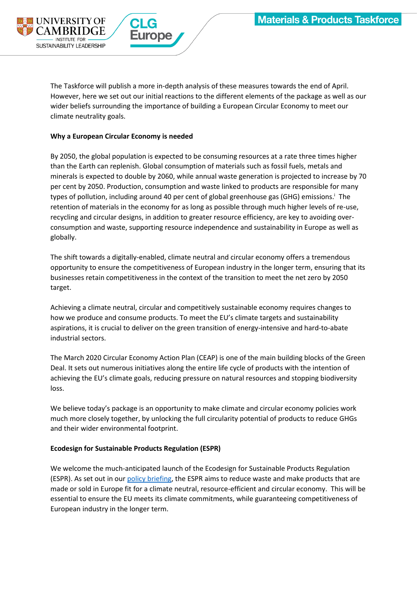

The Taskforce will publish a more in-depth analysis of these measures towards the end of April. However, here we set out our initial reactions to the different elements of the package as well as our wider beliefs surrounding the importance of building a European Circular Economy to meet our climate neutrality goals.

## **Why a European Circular Economy is needed**

By 2050, the global population is expected to be consuming resources at a rate three times higher than the Earth can replenish. Global consumption of materials such as fossil fuels, metals and minerals is expected to double by 2060, while annual waste generation is projected to increase by 70 per cent by 2050. Production, consumption and waste linked to products are responsible for many types of pollution, including around 40 per cent of global greenhouse gas (GHG) emissions.<sup>i</sup> The retention of materials in the economy for as long as possible through much higher levels of re-use, recycling and circular designs, in addition to greater resource efficiency, are key to avoiding overconsumption and waste, supporting resource independence and sustainability in Europe as well as globally.

The shift towards a digitally-enabled, climate neutral and circular economy offers a tremendous opportunity to ensure the competitiveness of European industry in the longer term, ensuring that its businesses retain competitiveness in the context of the transition to meet the net zero by 2050 target.

Achieving a climate neutral, circular and competitively sustainable economy requires changes to how we produce and consume products. To meet the EU's climate targets and sustainability aspirations, it is crucial to deliver on the green transition of energy-intensive and hard-to-abate industrial sectors.

The March 2020 Circular Economy Action Plan (CEAP) is one of the main building blocks of the Green Deal. It sets out numerous initiatives along the entire life cycle of products with the intention of achieving the EU's climate goals, reducing pressure on natural resources and stopping biodiversity loss.

We believe today's package is an opportunity to make climate and circular economy policies work much more closely together, by unlocking the full circularity potential of products to reduce GHGs and their wider environmental footprint.

## **Ecodesign for Sustainable Products Regulation (ESPR)**

We welcome the much-anticipated launch of the Ecodesign for Sustainable Products Regulation (ESPR). As set out in ou[r policy briefing,](https://www.corporateleadersgroup.com/accelerating-transition-climate-neutral-and-circular-economy-how-eu-can-deliver-through-SPI) the ESPR aims to reduce waste and make products that are made or sold in Europe fit for a climate neutral, resource-efficient and circular economy. This will be essential to ensure the EU meets its climate commitments, while guaranteeing competitiveness of European industry in the longer term.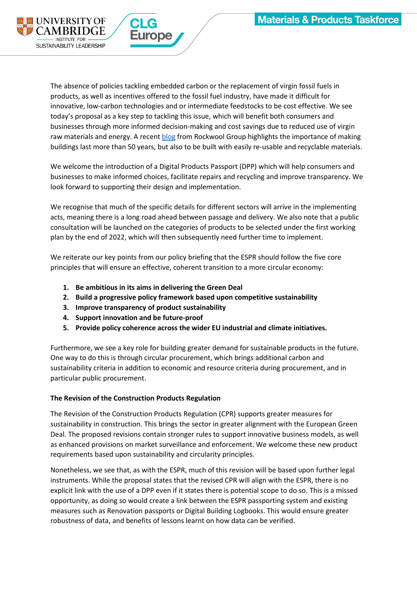

The absence of policies tackling embedded carbon or the replacement of virgin fossil fuels in products, as well as incentives offered to the fossil fuel industry, have made it difficult for innovative, low-carbon technologies and or intermediate feedstocks to be cost effective. We see today's proposal as a key step to tackling this issue, which will benefit both consumers and businesses through more informed decision-making and cost savings due to reduced use of virgin raw materials and energy. A recent [blog](https://www.corporateleadersgroup.com/news/blog-reading-renovation-wave) from Rockwool Group highlights the importance of making buildings last more than 50 years, but also to be built with easily re-usable and recyclable materials.

We welcome the introduction of a Digital Products Passport (DPP) which will help consumers and businesses to make informed choices, facilitate repairs and recycling and improve transparency. We look forward to supporting their design and implementation.

We recognise that much of the specific details for different sectors will arrive in the implementing acts, meaning there is a long road ahead between passage and delivery. We also note that a public consultation will be launched on the categories of products to be selected under the first working plan by the end of 2022, which will then subsequently need further time to implement.

We reiterate our key points from our policy briefing that the ESPR should follow the five core principles that will ensure an effective, coherent transition to a more circular economy:

- **1. Be ambitious in its aims in delivering the Green Deal**
- **2. Build a progressive policy framework based upon competitive sustainability**
- **3. Improve transparency of product sustainability**
- **4. Support innovation and be future-proof**
- **5. Provide policy coherence across the wider EU industrial and climate initiatives.**

Furthermore, we see a key role for building greater demand for sustainable products in the future. One way to do this is through circular procurement, which brings additional carbon and sustainability criteria in addition to economic and resource criteria during procurement, and in particular public procurement.

## **The Revision of the Construction Products Regulation**

The Revision of the Construction Products Regulation (CPR) supports greater measures for sustainability in construction. This brings the sector in greater alignment with the European Green Deal. The proposed revisions contain stronger rules to support innovative business models, as well as enhanced provisions on market surveillance and enforcement. We welcome these new product requirements based upon sustainability and circularity principles.

Nonetheless, we see that, as with the ESPR, much of this revision will be based upon further legal instruments. While the proposal states that the revised CPR will align with the ESPR, there is no explicit link with the use of a DPP even if it states there is potential scope to do so. This is a missed opportunity, as doing so would create a link between the ESPR passporting system and existing measures such as Renovation passports or Digital Building Logbooks. This would ensure greater robustness of data, and benefits of lessons learnt on how data can be verified.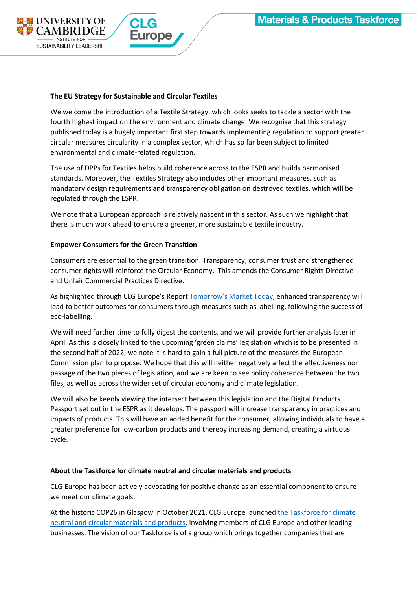

## **The EU Strategy for Sustainable and Circular Textiles**

We welcome the introduction of a Textile Strategy, which looks seeks to tackle a sector with the fourth highest impact on the environment and climate change. We recognise that this strategy published today is a hugely important first step towards implementing regulation to support greater circular measures circularity in a complex sector, which has so far been subject to limited environmental and climate-related regulation.

The use of DPPs for Textiles helps build coherence across to the ESPR and builds harmonised standards. Moreover, the Textiles Strategy also includes other important measures, such as mandatory design requirements and transparency obligation on destroyed textiles, which will be regulated through the ESPR.

We note that a European approach is relatively nascent in this sector. As such we highlight that there is much work ahead to ensure a greener, more sustainable textile industry.

#### **Empower Consumers for the Green Transition**

Consumers are essential to the green transition. Transparency, consumer trust and strengthened consumer rights will reinforce the Circular Economy. This amends the Consumer Rights Directive and Unfair Commercial Practices Directive.

As highlighted through CLG Europe's Report [Tomorrow's Ma](https://www.corporateleadersgroup.com/tomorrows-markets-today)rket Today, enhanced transparency will lead to better outcomes for consumers through measures such as labelling, following the success of eco-labelling.

We will need further time to fully digest the contents, and we will provide further analysis later in April. As this is closely linked to the upcoming 'green claims' legislation which is to be presented in the second half of 2022, we note it is hard to gain a full picture of the measures the European Commission plan to propose. We hope that this will neither negatively affect the effectiveness nor passage of the two pieces of legislation, and we are keen to see policy coherence between the two files, as well as across the wider set of circular economy and climate legislation.

We will also be keenly viewing the intersect between this legislation and the Digital Products Passport set out in the ESPR as it develops. The passport will increase transparency in practices and impacts of products. This will have an added benefit for the consumer, allowing individuals to have a greater preference for low-carbon products and thereby increasing demand, creating a virtuous cycle.

#### **About the Taskforce for climate neutral and circular materials and products**

CLG Europe has been actively advocating for positive change as an essential component to ensure we meet our climate goals.

At the historic COP26 in Glasgow in October 2021, CLG Europe launche[d the Taskforce for climate](https://www.corporateleadersgroup.com/corporate-leaders-group-europe/taskforce-climate-neutral-and-circular-materials-and-products)  [neutral and circular materials and products,](https://www.corporateleadersgroup.com/corporate-leaders-group-europe/taskforce-climate-neutral-and-circular-materials-and-products) involving members of CLG Europe and other leading businesses. The vision of our Taskforce is of a group which brings together companies that are